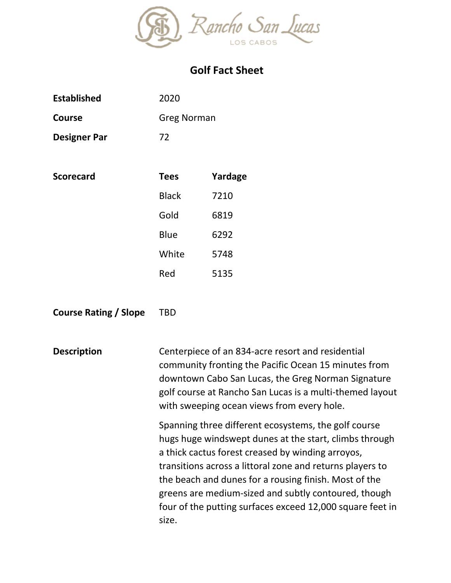

## **Golf Fact Sheet**

| <b>Established</b>  | 2020         |                    |  |
|---------------------|--------------|--------------------|--|
| Course              |              | <b>Greg Norman</b> |  |
| <b>Designer Par</b> | 72           |                    |  |
|                     |              |                    |  |
| <b>Scorecard</b>    | <b>Tees</b>  | Yardage            |  |
|                     | <b>Black</b> | 7210               |  |
|                     | Gold         | 6819               |  |
|                     | Blue         | 6292               |  |
|                     | White        | 5748               |  |
|                     | Red          | 5135               |  |

## **Course Rating / Slope** TBD

**Description** Centerpiece of an 834-acre resort and residential community fronting the Pacific Ocean 15 minutes from downtown Cabo San Lucas, the Greg Norman Signature golf course at Rancho San Lucas is a multi-themed layout with sweeping ocean views from every hole.

> Spanning three different ecosystems, the golf course hugs huge windswept dunes at the start, climbs through a thick cactus forest creased by winding arroyos, transitions across a littoral zone and returns players to the beach and dunes for a rousing finish. Most of the greens are medium-sized and subtly contoured, though four of the putting surfaces exceed 12,000 square feet in size.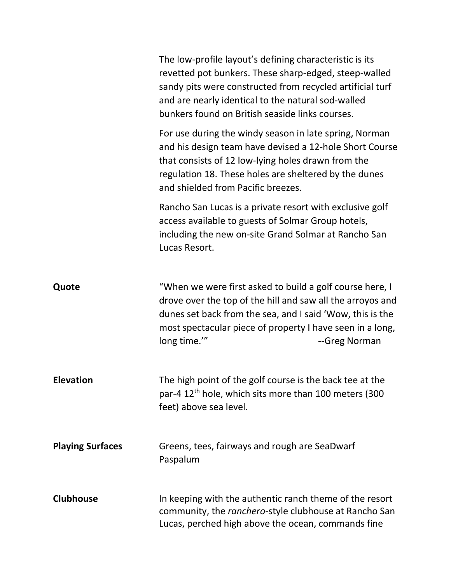|                         | The low-profile layout's defining characteristic is its<br>revetted pot bunkers. These sharp-edged, steep-walled<br>sandy pits were constructed from recycled artificial turf<br>and are nearly identical to the natural sod-walled<br>bunkers found on British seaside links courses. |
|-------------------------|----------------------------------------------------------------------------------------------------------------------------------------------------------------------------------------------------------------------------------------------------------------------------------------|
|                         | For use during the windy season in late spring, Norman<br>and his design team have devised a 12-hole Short Course<br>that consists of 12 low-lying holes drawn from the<br>regulation 18. These holes are sheltered by the dunes<br>and shielded from Pacific breezes.                 |
|                         | Rancho San Lucas is a private resort with exclusive golf<br>access available to guests of Solmar Group hotels,<br>including the new on-site Grand Solmar at Rancho San<br>Lucas Resort.                                                                                                |
| Quote                   | "When we were first asked to build a golf course here, I<br>drove over the top of the hill and saw all the arroyos and<br>dunes set back from the sea, and I said 'Wow, this is the<br>most spectacular piece of property I have seen in a long,<br>long time.""<br>--Greg Norman      |
| <b>Elevation</b>        | The high point of the golf course is the back tee at the<br>par-4 12 <sup>th</sup> hole, which sits more than 100 meters (300<br>feet) above sea level.                                                                                                                                |
| <b>Playing Surfaces</b> | Greens, tees, fairways and rough are SeaDwarf<br>Paspalum                                                                                                                                                                                                                              |
| <b>Clubhouse</b>        | In keeping with the authentic ranch theme of the resort<br>community, the ranchero-style clubhouse at Rancho San<br>Lucas, perched high above the ocean, commands fine                                                                                                                 |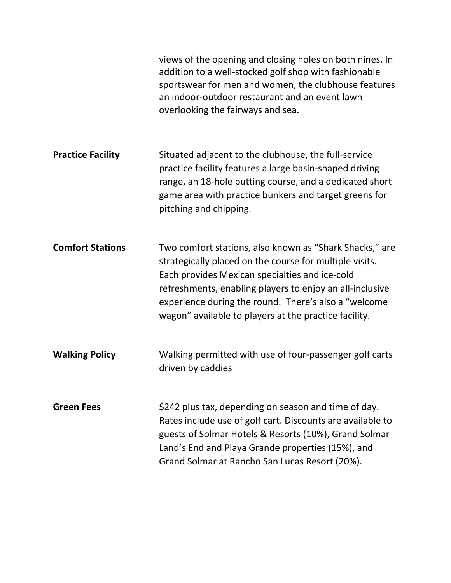|                          | views of the opening and closing holes on both nines. In<br>addition to a well-stocked golf shop with fashionable<br>sportswear for men and women, the clubhouse features<br>an indoor-outdoor restaurant and an event lawn<br>overlooking the fairways and sea.                                                                                   |
|--------------------------|----------------------------------------------------------------------------------------------------------------------------------------------------------------------------------------------------------------------------------------------------------------------------------------------------------------------------------------------------|
| <b>Practice Facility</b> | Situated adjacent to the clubhouse, the full-service<br>practice facility features a large basin-shaped driving<br>range, an 18-hole putting course, and a dedicated short<br>game area with practice bunkers and target greens for<br>pitching and chipping.                                                                                      |
| <b>Comfort Stations</b>  | Two comfort stations, also known as "Shark Shacks," are<br>strategically placed on the course for multiple visits.<br>Each provides Mexican specialties and ice-cold<br>refreshments, enabling players to enjoy an all-inclusive<br>experience during the round. There's also a "welcome"<br>wagon" available to players at the practice facility. |
| <b>Walking Policy</b>    | Walking permitted with use of four-passenger golf carts<br>driven by caddies                                                                                                                                                                                                                                                                       |
| <b>Green Fees</b>        | \$242 plus tax, depending on season and time of day.<br>Rates include use of golf cart. Discounts are available to<br>guests of Solmar Hotels & Resorts (10%), Grand Solmar<br>Land's End and Playa Grande properties (15%), and<br>Grand Solmar at Rancho San Lucas Resort (20%).                                                                 |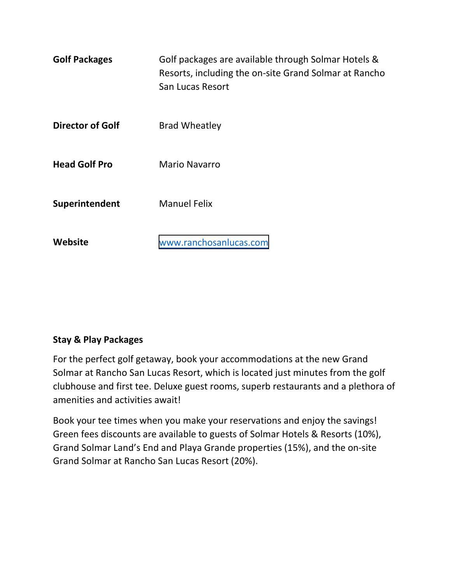| <b>Golf Packages</b>    | Golf packages are available through Solmar Hotels &<br>Resorts, including the on-site Grand Solmar at Rancho<br>San Lucas Resort |
|-------------------------|----------------------------------------------------------------------------------------------------------------------------------|
| <b>Director of Golf</b> | <b>Brad Wheatley</b>                                                                                                             |
| <b>Head Golf Pro</b>    | <b>Mario Navarro</b>                                                                                                             |
| Superintendent          | <b>Manuel Felix</b>                                                                                                              |
| Website                 | www.ranchosanlucas.com                                                                                                           |

## **Stay & Play Packages**

For the perfect golf getaway, book your accommodations at the new Grand Solmar at Rancho San Lucas Resort, which is located just minutes from the golf clubhouse and first tee. Deluxe guest rooms, superb restaurants and a plethora of amenities and activities await!

Book your tee times when you make your reservations and enjoy the savings! Green fees discounts are available to guests of Solmar Hotels & Resorts (10%), Grand Solmar Land's End and Playa Grande properties (15%), and the on-site Grand Solmar at Rancho San Lucas Resort (20%).